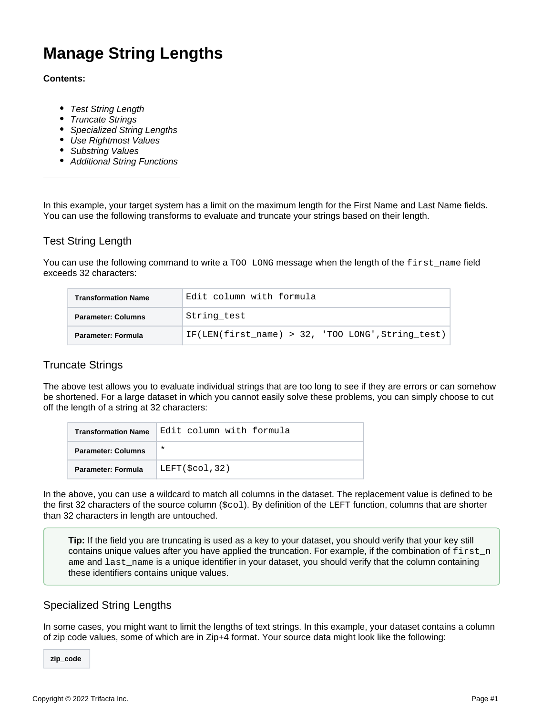# **Manage String Lengths**

#### **Contents:**

- [Test String Length](#page-0-0)
- [Truncate Strings](#page-0-1)
- [Specialized String Lengths](#page-0-2)
- [Use Rightmost Values](#page-1-0)
- [Substring Values](#page-1-1)
- [Additional String Functions](#page-2-0)

In this example, your target system has a limit on the maximum length for the First Name and Last Name fields. You can use the following transforms to evaluate and truncate your strings based on their length.

# <span id="page-0-0"></span>Test String Length

You can use the following command to write a TOO LONG message when the length of the first\_name field exceeds 32 characters:

| <b>Transformation Name</b> | Edit column with formula                             |
|----------------------------|------------------------------------------------------|
| <b>Parameter: Columns</b>  | String test                                          |
| Parameter: Formula         | IF(LEN(first name) > $32$ , 'TOO LONG', String test) |

## <span id="page-0-1"></span>Truncate Strings

The above test allows you to evaluate individual strings that are too long to see if they are errors or can somehow be shortened. For a large dataset in which you cannot easily solve these problems, you can simply choose to cut off the length of a string at 32 characters:

| <b>Transformation Name</b> | Edit column with formula |
|----------------------------|--------------------------|
| <b>Parameter: Columns</b>  | $\ast$                   |
| <b>Parameter: Formula</b>  | LEFT(\$col,32)           |

In the above, you can use a wildcard to match all columns in the dataset. The replacement value is defined to be the first 32 characters of the source column (\$col). By definition of the LEFT function, columns that are shorter than 32 characters in length are untouched.

**Tip:** If the field you are truncating is used as a key to your dataset, you should verify that your key still contains unique values after you have applied the truncation. For example, if the combination of  $first\_n$ ame and last\_name is a unique identifier in your dataset, you should verify that the column containing these identifiers contains unique values.

## <span id="page-0-2"></span>Specialized String Lengths

In some cases, you might want to limit the lengths of text strings. In this example, your dataset contains a column of zip code values, some of which are in Zip+4 format. Your source data might look like the following:

**zip\_code**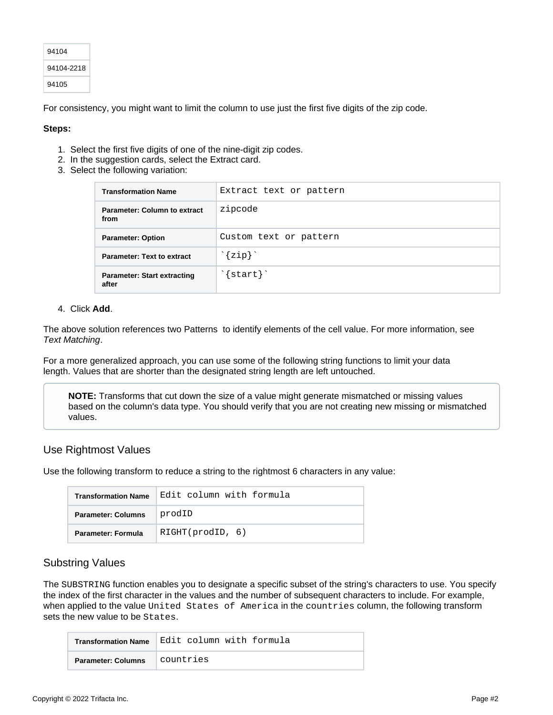| 94104      |
|------------|
| 94104-2218 |
| 94105      |

For consistency, you might want to limit the column to use just the first five digits of the zip code.

#### **Steps:**

- 1. Select the first five digits of one of the nine-digit zip codes.
- 2. In the suggestion cards, select the Extract card.
- 3. Select the following variation:

| <b>Transformation Name</b>                  | Extract text or pattern |
|---------------------------------------------|-------------------------|
| <b>Parameter: Column to extract</b><br>from | zipcode                 |
| <b>Parameter: Option</b>                    | Custom text or pattern  |
| <b>Parameter: Text to extract</b>           | ${zip}$                 |
| <b>Parameter: Start extracting</b><br>after | $\{start\}$             |

#### 4. Click **Add**.

The above solution references two Patterns to identify elements of the cell value. For more information, see [Text Matching](https://docs.trifacta.com/display/AWS/Text+Matching).

For a more generalized approach, you can use some of the following string functions to limit your data length. Values that are shorter than the designated string length are left untouched.

**NOTE:** Transforms that cut down the size of a value might generate mismatched or missing values based on the column's data type. You should verify that you are not creating new missing or mismatched values.

## <span id="page-1-0"></span>Use Rightmost Values

Use the following transform to reduce a string to the rightmost 6 characters in any value:

| <b>Transformation Name</b> | Edit column with formula |
|----------------------------|--------------------------|
| <b>Parameter: Columns</b>  | prodID                   |
| Parameter: Formula         | RIGHT(prodID, 6)         |

## <span id="page-1-1"></span>Substring Values

The SUBSTRING function enables you to designate a specific subset of the string's characters to use. You specify the index of the first character in the values and the number of subsequent characters to include. For example, when applied to the value United States of America in the countries column, the following transform sets the new value to be States.

|                           | Transformation Name Edit column with formula |
|---------------------------|----------------------------------------------|
| <b>Parameter: Columns</b> | countries                                    |